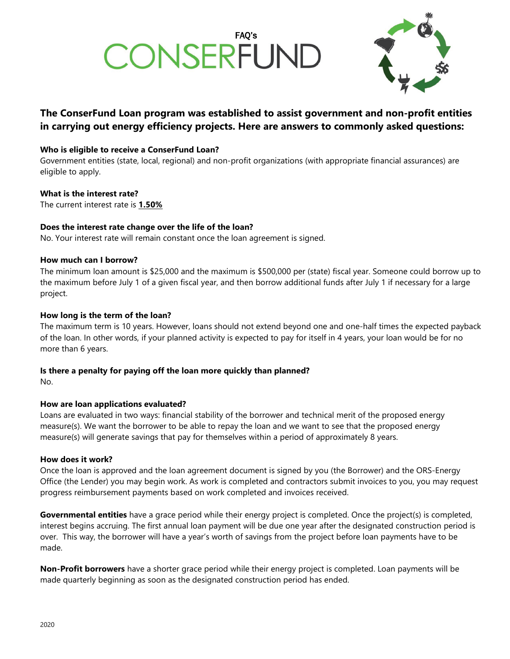# CONSERFUND



#### **The ConserFund Loan program was established to assist government and non-profit entities in carrying out energy efficiency projects. Here are answers to commonly asked questions:**

#### **Who is eligible to receive a ConserFund Loan?**

Government entities (state, local, regional) and non-profit organizations (with appropriate financial assurances) are eligible to apply.

#### **What is the interest rate?**

The current interest rate is **1.50%**

#### **Does the interest rate change over the life of the loan?**

No. Your interest rate will remain constant once the loan agreement is signed.

#### **How much can I borrow?**

The minimum loan amount is \$25,000 and the maximum is \$500,000 per (state) fiscal year. Someone could borrow up to the maximum before July 1 of a given fiscal year, and then borrow additional funds after July 1 if necessary for a large project.

#### **How long is the term of the loan?**

The maximum term is 10 years. However, loans should not extend beyond one and one-half times the expected payback of the loan. In other words, if your planned activity is expected to pay for itself in 4 years, your loan would be for no more than 6 years.

### **Is there a penalty for paying off the loan more quickly than planned?**

No.

#### **How are loan applications evaluated?**

Loans are evaluated in two ways: financial stability of the borrower and technical merit of the proposed energy measure(s). We want the borrower to be able to repay the loan and we want to see that the proposed energy measure(s) will generate savings that pay for themselves within a period of approximately 8 years.

#### **How does it work?**

Once the loan is approved and the loan agreement document is signed by you (the Borrower) and the ORS-Energy Office (the Lender) you may begin work. As work is completed and contractors submit invoices to you, you may request progress reimbursement payments based on work completed and invoices received.

**Governmental entities** have a grace period while their energy project is completed. Once the project(s) is completed, interest begins accruing. The first annual loan payment will be due one year after the designated construction period is over. This way, the borrower will have a year's worth of savings from the project before loan payments have to be made.

**Non-Profit borrowers** have a shorter grace period while their energy project is completed. Loan payments will be made quarterly beginning as soon as the designated construction period has ended.